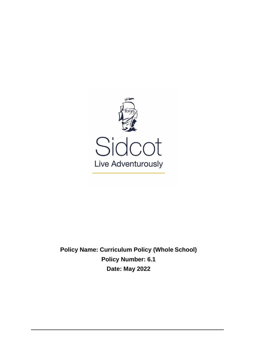

**Policy Name: Curriculum Policy (Whole School) Policy Number: 6.1 Date: May 2022**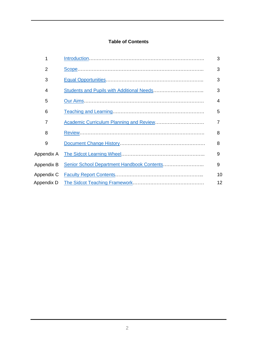## **Table of Contents**

| 1          | 3  |
|------------|----|
| 2          | 3  |
| 3          | 3  |
| 4          | 3  |
| 5          | 4  |
| 6          | 5  |
| 7          |    |
| 8          | 8  |
| 9          | 8  |
| Appendix A | 9  |
| Appendix B | 9  |
| Appendix C | 10 |
| Appendix D | 12 |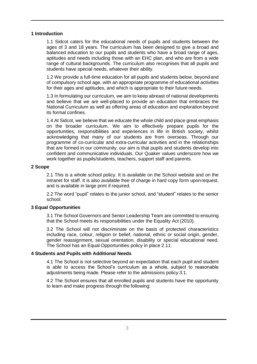#### <span id="page-2-0"></span>**1 Introduction**

1.1 Sidcot caters for the educational needs of pupils and students between the ages of 3 and 18 years. The curriculum has been designed to give a broad and balanced education to our pupils and students who have a broad range of ages, aptitudes and needs including those with an EHC plan, and who are from a wide range of cultural backgrounds. The curriculum also recognises that all pupils and students have special needs, whatever their ability.

1.2 We provide a full-time education for all pupils and students below, beyondand of compulsory school age, with an appropriate programme of educational activities for their ages and aptitudes, and which is appropriate to their future needs.

1.3 In formulating our curriculum, we aim to keep abreast of national developments and believe that we are well-placed to provide an education that embraces the National Curriculum as well as offering areas of education and exploration beyond its formal confines.

1.4 At Sidcot, we believe that we educate the whole child and place great emphasis on the broader curriculum. We aim to effectively prepare pupils for the opportunities, responsibilities and experiences in life in British society, whilst acknowledging that many of our students are from overseas. Through our programme of co-curricular and extra-curricular activities and in the relationships that are formed in our community, our aim is that pupils and students develop into confident and communicative individuals. Our Quaker values underscore how we work together as pupils/students, teachers, support staff and parents.

#### <span id="page-2-1"></span>**2 Scope**

2.1 This is a whole school policy. It is available on the School website and on the intranet for staff. It is also available free of charge in hard copy form uponrequest, and is available in large print if required.

2.2 The word "pupil" relates to the junior school, and "student" relates to the senior school.

#### <span id="page-2-2"></span>**3 Equal Opportunities**

3.1 The School Governors and Senior Leadership Team are committed to ensuring that the School meets its responsibilities under the Equality Act (2010).

3.2 The School will not discriminate on the basis of protected characteristics including race, colour, religion or belief, national, ethnic or social origin, gender, gender reassignment, sexual orientation, disability or special educational need. The School has an Equal Opportunities policy in place 2.11.

#### <span id="page-2-3"></span>**4 Students and Pupils with Additional Needs**

4.1 The School is not selective beyond an expectation that each pupil and student is able to access the School's curriculum as a whole, subject to reasonable adjustments being made. Please refer to the admissions policy 3.1.

4.2 The School ensures that all enrolled pupils and students have the opportunity to learn and make progress through the following: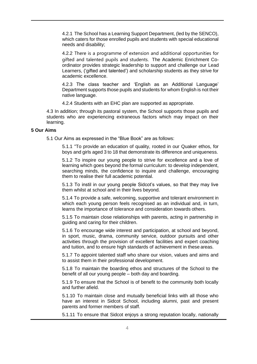4.2.1 The School has a Learning Support Department, (led by the SENCO), which caters for those enrolled pupils and students with special educational needs and disability;

4.2.2 There is a programme of extension and additional opportunities for gifted and talented pupils and students. The Academic Enrichment Coordinator provides strategic leadership to support and challenge our Lead Learners, ('gifted and talented') and scholarship students as they strive for academic excellence.

4.2.3 The class teacher and 'English as an Additional Language' Department supports those pupils and students for whom English is not their native language.

4.2.4 Students with an EHC plan are supported as appropriate.

4.3 In addition; through its pastoral system, the School supports those pupils and students who are experiencing extraneous factors which may impact on their learning.

#### <span id="page-3-0"></span>**5 Our Aims**

5.1 Our Aims as expressed in the "Blue Book" are as follows:

5.1.1 "To provide an education of quality, rooted in our Quaker ethos, for boys and girls aged 3 to 18 that demonstrate its difference and uniqueness.

5.1.2 To inspire our young people to strive for excellence and a love of learning which goes beyond the formal curriculum: to develop independent, searching minds, the confidence to inquire and challenge, encouraging them to realise their full academic potential.

5.1.3 To instil in our young people Sidcot's values, so that they may live them whilst at school and in their lives beyond.

5.1.4 To provide a safe, welcoming, supportive and tolerant environment in which each young person feels recognised as an individual and, in turn, learns the importance of tolerance and consideration towards others.

5.1.5 To maintain close relationships with parents, acting in partnership in guiding and caring for their children.

5.1.6 To encourage wide interest and participation, at school and beyond, in sport, music, drama, community service, outdoor pursuits and other activities through the provision of excellent facilities and expert coaching and tuition, and to ensure high standards of achievement in these areas.

5.1.7 To appoint talented staff who share our vision, values and aims and to assist them in their professional development.

5.1.8 To maintain the boarding ethos and structures of the School to the benefit of all our young people – both day and boarding.

5.1.9 To ensure that the School is of benefit to the community both locally and further afield.

5.1.10 To maintain close and mutually beneficial links with all those who have an interest in Sidcot School, including alumni, past and present parents and former members of staff.

5.1.11 To ensure that Sidcot enjoys a strong reputation locally, nationally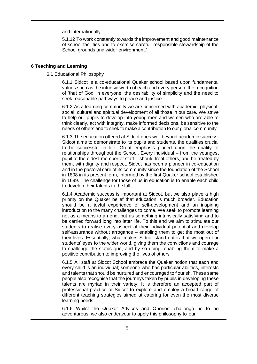and internationally.

5.1.12 To work constantly towards the improvement and good maintenance of school facilities and to exercise careful, responsible stewardship of the School grounds and wider environment."

#### <span id="page-4-0"></span>**6 Teaching and Learning**

6.1 Educational Philosophy

6.1.1 Sidcot is a co-educational Quaker school based upon fundamental values such as the intrinsic worth of each and every person, the recognition of 'that of God' in everyone, the desirability of simplicity and the need to seek reasonable pathways to peace and justice.

6.1.2 As a learning community we are concerned with academic, physical, social, cultural and spiritual development of all those in our care. We strive to help our pupils to develop into young men and women who are able to think clearly, act with integrity, make informed decisions, be sensitive to the needs of others and to seek to make a contribution to our global community.

6.1.3 The education offered at Sidcot goes well beyond academic success. Sidcot aims to demonstrate to its pupils and students, the qualities crucial to be successful in life. Great emphasis placed upon the quality of relationships throughout the School. Every individual – from the youngest pupil to the oldest member of staff – should treat others, and be treated by them, with dignity and respect. Sidcot has been a pioneer in co-education and in the pastoral care of its community since the foundation of the School in 1808 in its present form, informed by the first Quaker school established in 1699. The challenge for those of us in education is to enable each child to develop their talents to the full.

6.1.4 Academic success is important at Sidcot, but we also place a high priority on the Quaker belief that education is much broader. Education should be a joyful experience of self-development and an inspiring introduction to the many challenges to come. We seek to promote learning not as a means to an end, but as something intrinsically satisfying and to be carried forward long into later life. To this end we aim to stimulate our students to realise every aspect of their individual potential and develop self-assurance without arrogance – enabling them to get the most out of their lives. Essentially, what makes Sidcot stand out is that we open our students' eyes to the wider world, giving them the convictions and courage to challenge the status quo, and by so doing, enabling them to make a positive contribution to improving the lives of others

6.1.5 All staff at Sidcot School embrace the Quaker notion that each and every child is an individual; someone who has particular abilities, interests and talents that should be nurtured and encouraged to flourish. These same people also recognise that the journeys taken by pupils in developing these talents are myriad in their variety. It is therefore an accepted part of professional practice at Sidcot to explore and employ a broad range of different teaching strategies aimed at catering for even the most diverse learning needs.

6.1.6 Whilst the Quaker Advices and Queries' challenge us to be adventurous, we also endeavour to apply this philosophy to our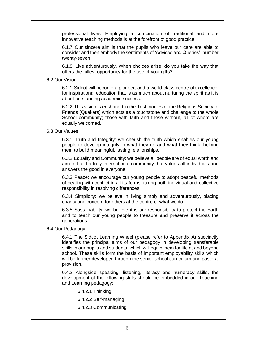professional lives. Employing a combination of traditional and more innovative teaching methods is at the forefront of good practice.

6.1.7 Our sincere aim is that the pupils who leave our care are able to consider and then embody the sentiments of 'Advices and Queries', number twenty-seven:

6.1.8 'Live adventurously. When choices arise, do you take the way that offers the fullest opportunity for the use of your gifts?'

6.2 Our Vision

6.2.1 Sidcot will become a pioneer, and a world-class centre ofexcellence, for inspirational education that is as much about nurturing the spirit as it is about outstanding academic success.

6.2.2 This vision is enshrined in the Testimonies of the Religious Society of Friends (Quakers) which acts as a touchstone and challenge to the whole School community; those with faith and those without, all of whom are equally welcomed.

6.3 Our Values

6.3.1 Truth and Integrity: we cherish the truth which enables our young people to develop integrity in what they do and what they think, helping them to build meaningful, lasting relationships.

6.3.2 Equality and Community: we believe all people are of equal worth and aim to build a truly international community that values all individuals and answers the good in everyone.

6.3.3 Peace: we encourage our young people to adopt peaceful methods of dealing with conflict in all its forms, taking both individual and collective responsibility in resolving differences.

6.3.4 Simplicity: we believe in living simply and adventurously, placing charity and concern for others at the centre of what we do.

6.3.5 Sustainability: we believe it is our responsibility to protect the Earth and to teach our young people to treasure and preserve it across the generations.

#### 6.4 Our Pedagogy

6.4.1 The Sidcot Learning Wheel (please refer to Appendix A) succinctly identifies the principal aims of our pedagogy in developing transferable skills in our pupils and students, which will equip them for life at and beyond school. These skills form the basis of important employability skills which will be further developed through the senior school curriculum and pastoral provision.

6.4.2 Alongside speaking, listening, literacy and numeracy skills, the development of the following skills should be embedded in our Teaching and Learning pedagogy:

6.4.2.1 Thinking

6.4.2.2 Self-managing

6.4.2.3 Communicating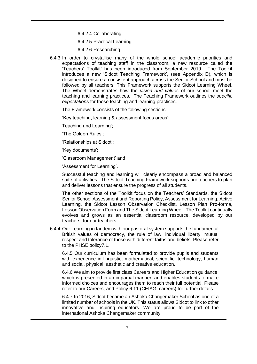6.4.2.4 Collaborating

6.4.2.5 Practical Learning

6.4.2.6 Researching

6.4.3 In order to crystallise many of the whole school academic priorities and expectations of teaching staff in the classroom, a new resource called the 'Teachers' Toolkit' has been introduced from September 2019. The Toolkit introduces a new 'Sidcot Teaching Framework', (see Appendix D), which is designed to ensure a consistent approach across the Senior School and must be followed by all teachers. This Framework supports the Sidcot Learning Wheel. The Wheel demonstrates how the *vision and values* of our school meet the teaching and learning practices. The Teaching Framework outlines the *specific expectations* for those teaching and learning practices.

The Framework consists of the following sections:

'Key teaching, learning & assessment focus areas';

Teaching and Learning';

'The Golden Rules';

'Relationships at Sidcot';

'Key documents';

'Classroom Management' and

'Assessment for Learning'.

Successful teaching and learning will clearly encompass a broad and balanced suite of activities. The Sidcot Teaching Framework supports our teachers to plan and deliver lessons that ensure the progress of all students.

The other sections of the Toolkit focus on the Teachers' Standards, the Sidcot Senior School Assessment and Reporting Policy, Assessment for Learning, Active Learning, the Sidcot Lesson Observation Checklist, Lesson Plan Pro-forma, Lesson Observation Form and The Sidcot Learning Wheel. The Toolkit continually evolves and grows as an essential classroom resource, developed by our teachers, for our teachers.

6.4.4 Our Learning in tandem with our pastoral system supports the fundamental British values of democracy, the rule of law, individual liberty, mutual respect and tolerance of those with different faiths and beliefs. Please refer to the PHSE policy7.1.

6.4.5 Our curriculum has been formulated to provide pupils and students with experience in linguistic, mathematical, scientific, technology, human and social, physical, aesthetic and creative education.

6.4.6 We aim to provide first class Careers and Higher Education guidance, which is presented in an impartial manner, and enables students to make informed choices and encourages them to reach their full potential. Please refer to our Careers, and Policy 6.11 (CEIAG, careers) for further details.

6.4.7 In 2016, Sidcot became an Ashoka Changemaker School as one of a limited number of schools in the UK. This status allows Sidcot to link to other innovative and inspiring educators. We are proud to be part of the international Ashoka Changemaker community.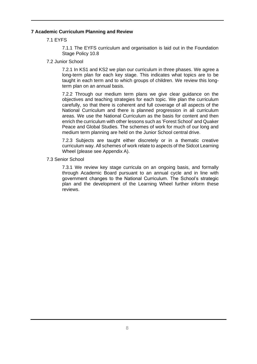### <span id="page-7-0"></span>**7 Academic Curriculum Planning and Review**

7.1 EYFS

7.1.1 The EYFS curriculum and organisation is laid out in the Foundation Stage Policy 10.8

7.2 Junior School

7.2.1 In KS1 and KS2 we plan our curriculum in three phases. We agree a long-term plan for each key stage. This indicates what topics are to be taught in each term and to which groups of children. We review this longterm plan on an annual basis.

7.2.2 Through our medium term plans we give clear guidance on the objectives and teaching strategies for each topic. We plan the curriculum carefully, so that there is coherent and full coverage of all aspects of the National Curriculum and there is planned progression in all curriculum areas. We use the National Curriculum as the basis for content and then enrich the curriculum with other lessons such as 'Forest School' and Quaker Peace and Global Studies. The schemes of work for much of our long and medium term planning are held on the Junior School central drive.

7.2.3 Subjects are taught either discretely or in a thematic creative curriculum way. All schemes of work relate to aspects of the Sidcot Learning Wheel (please see Appendix A).

7.3 Senior School

7.3.1 We review key stage curricula on an ongoing basis, and formally through Academic Board pursuant to an annual cycle and in line with government changes to the National Curriculum. The School's strategic plan and the development of the Learning Wheel further inform these reviews.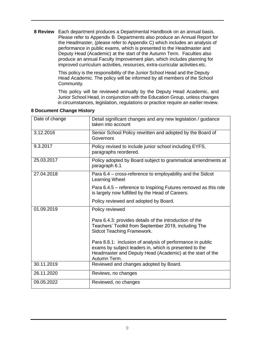<span id="page-8-0"></span> **8 Review** Each department produces a Departmental Handbook on an annual basis. Please refer to Appendix B. Departments also produce an Annual Report for the Headmaster, (please refer to Appendix C) which includes an analysis of performance in public exams, which is presented to the Headmaster and Deputy Head (Academic) at the start of the Autumn Term. Faculties also produce an annual Faculty Improvement plan, which includes planning for improved curriculum activities, resources, extra-curricular activities etc.

> This policy is the responsibility of the Junior School Head and the Deputy Head Academic. The policy will be informed by all members of the School Community.

This policy will be reviewed annually by the Deputy Head Academic, and Junior School Head, in conjunction with the Education Group, unless changes in circumstances, legislation, regulations or practice require an earlier review.

| Date of change | Detail significant changes and any new legislation / guidance<br>taken into account                                                                                                               |
|----------------|---------------------------------------------------------------------------------------------------------------------------------------------------------------------------------------------------|
| 3.12.2016      | Senior School Policy rewritten and adopted by the Board of<br>Governors                                                                                                                           |
| 9.3.2017       | Policy revised to include junior school including EYFS,<br>paragraphs reordered.                                                                                                                  |
| 25.03.2017     | Policy adopted by Board subject to grammatical amendments at<br>paragraph 6.1                                                                                                                     |
| 27.04.2018     | Para 6.4 - cross-reference to employability and the Sidcot<br>Learning Wheel                                                                                                                      |
|                | Para 6.4.5 – reference to Inspiring Futures removed as this role<br>is largely now fulfilled by the Head of Careers.                                                                              |
|                | Policy reviewed and adopted by Board.                                                                                                                                                             |
| 01.09.2019     | Policy reviewed                                                                                                                                                                                   |
|                | Para 6.4.3: provides details of the introduction of the<br>Teachers' Toolkit from September 2019, including The<br>Sidcot Teaching Framework.                                                     |
|                | Para 8.8.1: inclusion of analysis of performance in public<br>exams by subject leaders in, which is presented to the<br>Headmaster and Deputy Head (Academic) at the start of the<br>Autumn Term. |
| 30.11.2019     | Reviewed and changes adopted by Board.                                                                                                                                                            |
| 26.11.2020     | Reviews, no changes                                                                                                                                                                               |
| 09.05.2022     | Reviewed, no changes                                                                                                                                                                              |

#### <span id="page-8-1"></span>**8 Document Change History**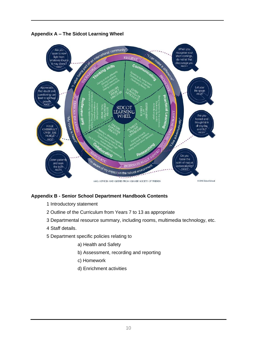<span id="page-9-0"></span>

#### <span id="page-9-1"></span>**Appendix B - Senior School Department Handbook Contents**

- 1 Introductory statement
- 2 Outline of the Curriculum from Years 7 to 13 as appropriate
- 3 Departmental resource summary, including rooms, multimedia technology, etc.
- 4 Staff details.
- 5 Department specific policies relating to
	- a) Health and Safety
	- b) Assessment, recording and reporting
	- c) Homework
	- d) Enrichment activities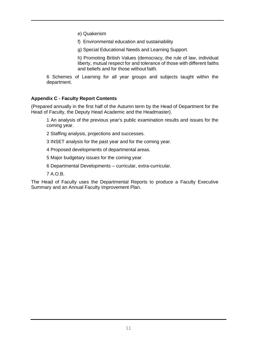e) Quakerism

f) Environmental education and sustainability

g) Special Educational Needs and Learning Support.

h) Promoting British Values (democracy, the rule of law, individual liberty, mutual respect for and tolerance of those with different faiths and beliefs and for those without faith.

6 Schemes of Learning for all year groups and subjects taught within the department.

#### <span id="page-10-0"></span>**Appendix C - Faculty Report Contents**

(Prepared annually in the first half of the Autumn term by the Head of Department for the Head of Faculty, the Deputy Head Academic and the Headmaster).

1 An analysis of the previous year's public examination results and issues for the coming year.

- 2 Staffing analysis, projections and successes.
- 3 INSET analysis for the past year and for the coming year.
- 4 Proposed developments of departmental areas.
- 5 Major budgetary issues for the coming year.
- 6 Departmental Developments curricular, extra-curricular.
- 7 A.O.B.

The Head of Faculty uses the Departmental Reports to produce a Faculty Executive Summary and an Annual Faculty Improvement Plan.